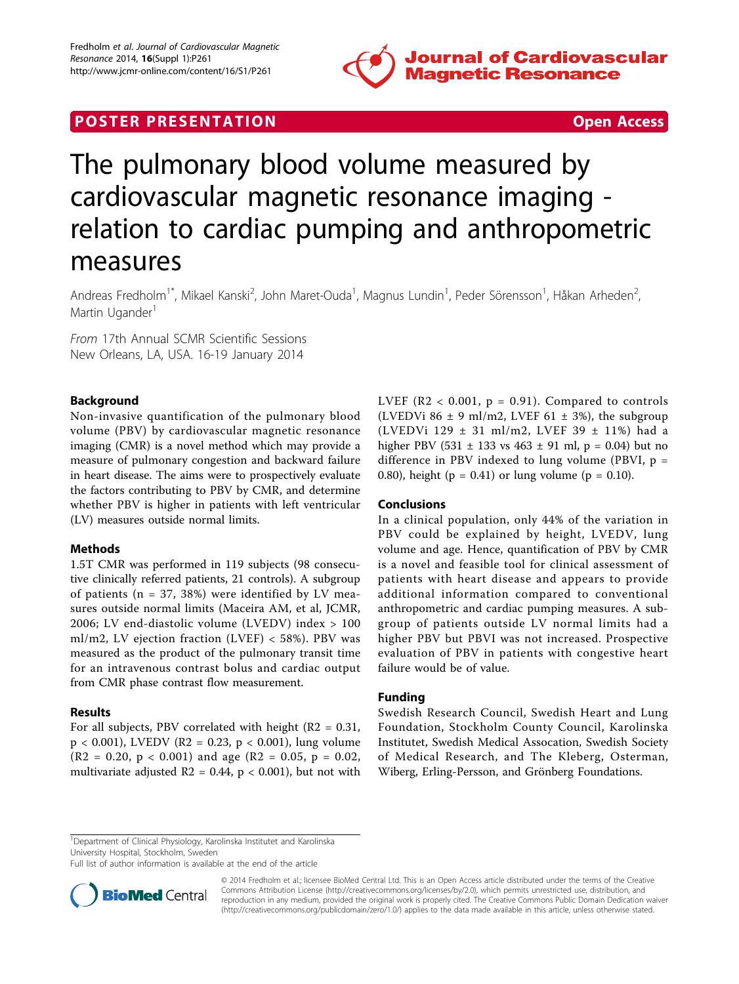

## **POSTER PRESENTATION CONSUMING THE SECOND CONSUMING THE SECOND CONSUMING THE SECOND CONSUMING THE SECOND CONSUMING THE SECOND CONSUMING THE SECOND CONSUMING THE SECOND CONSUMING THE SECOND CONSUMING THE SECOND CONSUMING**



# The pulmonary blood volume measured by cardiovascular magnetic resonance imaging relation to cardiac pumping and anthropometric measures

Andreas Fredholm<sup>1\*</sup>, Mikael Kanski<sup>2</sup>, John Maret-Ouda<sup>1</sup>, Magnus Lundin<sup>1</sup>, Peder Sörensson<sup>1</sup>, Håkan Arheden<sup>2</sup> .<br>, Martin Ugander<sup>1</sup>

From 17th Annual SCMR Scientific Sessions New Orleans, LA, USA. 16-19 January 2014

### Background

Non-invasive quantification of the pulmonary blood volume (PBV) by cardiovascular magnetic resonance imaging (CMR) is a novel method which may provide a measure of pulmonary congestion and backward failure in heart disease. The aims were to prospectively evaluate the factors contributing to PBV by CMR, and determine whether PBV is higher in patients with left ventricular (LV) measures outside normal limits.

#### Methods

1.5T CMR was performed in 119 subjects (98 consecutive clinically referred patients, 21 controls). A subgroup of patients ( $n = 37, 38\%$ ) were identified by LV measures outside normal limits (Maceira AM, et al, JCMR, 2006; LV end-diastolic volume (LVEDV) index > 100 ml/m2, LV ejection fraction (LVEF) < 58%). PBV was measured as the product of the pulmonary transit time for an intravenous contrast bolus and cardiac output from CMR phase contrast flow measurement.

#### Results

For all subjects, PBV correlated with height  $(R2 = 0.31,$  $p < 0.001$ ), LVEDV (R2 = 0.23,  $p < 0.001$ ), lung volume  $(R2 = 0.20, p < 0.001)$  and age  $(R2 = 0.05, p = 0.02,$ multivariate adjusted  $R2 = 0.44$ ,  $p < 0.001$ ), but not with LVEF ( $R2 < 0.001$ ,  $p = 0.91$ ). Compared to controls (LVEDVi 86  $\pm$  9 ml/m2, LVEF 61  $\pm$  3%), the subgroup (LVEDVi 129 ± 31 ml/m2, LVEF 39 ± 11%) had a higher PBV (531  $\pm$  133 vs 463  $\pm$  91 ml, p = 0.04) but no difference in PBV indexed to lung volume (PBVI, p = 0.80), height ( $p = 0.41$ ) or lung volume ( $p = 0.10$ ).

#### Conclusions

In a clinical population, only 44% of the variation in PBV could be explained by height, LVEDV, lung volume and age. Hence, quantification of PBV by CMR is a novel and feasible tool for clinical assessment of patients with heart disease and appears to provide additional information compared to conventional anthropometric and cardiac pumping measures. A subgroup of patients outside LV normal limits had a higher PBV but PBVI was not increased. Prospective evaluation of PBV in patients with congestive heart failure would be of value.

#### Funding

Swedish Research Council, Swedish Heart and Lung Foundation, Stockholm County Council, Karolinska Institutet, Swedish Medical Assocation, Swedish Society of Medical Research, and The Kleberg, Osterman, Wiberg, Erling-Persson, and Grönberg Foundations.

Full list of author information is available at the end of the article



<sup>© 2014</sup> Fredholm et al.; licensee BioMed Central Ltd. This is an Open Access article distributed under the terms of the Creative Commons Attribution License [\(http://creativecommons.org/licenses/by/2.0](http://creativecommons.org/licenses/by/2.0)), which permits unrestricted use, distribution, and reproduction in any medium, provided the original work is properly cited. The Creative Commons Public Domain Dedication waiver [\(http://creativecommons.org/publicdomain/zero/1.0/](http://creativecommons.org/publicdomain/zero/1.0/)) applies to the data made available in this article, unless otherwise stated.

<sup>&</sup>lt;sup>1</sup>Department of Clinical Physiology, Karolinska Institutet and Karolinska University Hospital, Stockholm, Sweden